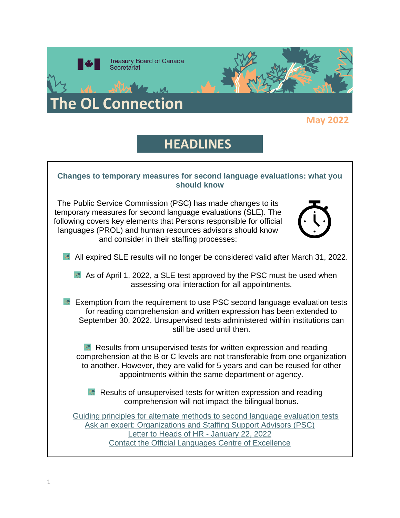

# **HEADLINES**

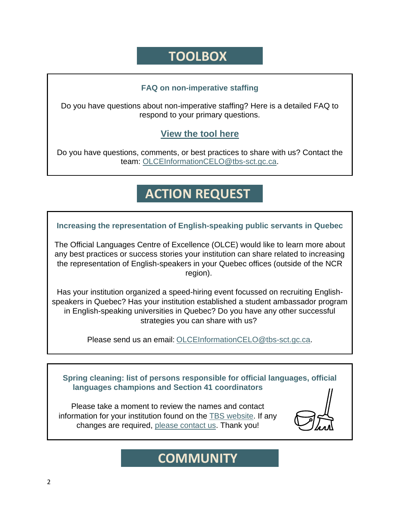## **TOOLBOX**

### **FAQ on non-imperative staffing**

Do you have questions about non-imperative staffing? Here is a detailed FAQ to respond to your primary questions.

### **[View the tool here](https://wiki.gccollab.ca/images/7/75/FAQ_Non-imperative_Staffing.pdf)**

Do you have questions, comments, or best practices to share with us? Contact the team: [OLCEInformationCELO@tbs-sct.gc.ca.](mailto:OLCEInformationCELO@tbs-sct.gc.ca)

# **ACTION REQUEST**

### **Increasing the representation of English-speaking public servants in Quebec**

The Official Languages Centre of Excellence (OLCE) would like to learn more about any best practices or success stories your institution can share related to increasing the representation of English-speakers in your Quebec offices (outside of the NCR region).

Has your institution organized a speed-hiring event focussed on recruiting Englishspeakers in Quebec? Has your institution established a student ambassador program in English-speaking universities in Quebec? Do you have any other successful strategies you can share with us?

Please send us an email: [OLCEInformationCELO@tbs-sct.gc.ca.](mailto:OLCEInformationCELO@tbs-sct.gc.ca)

**Spring cleaning: list of persons responsible for official languages, official languages champions and Section 41 coordinators**

Please take a moment to review the names and contact information for your institution found on the [TBS website.](https://www.tbs-sct.canada.ca/ap/list-liste/ol-lo-eng.asp) If any changes are required, [please contact us.](mailto:OLCEInformationCELO@tbs-sct.gc.ca) Thank you!

### **COMMUNITY**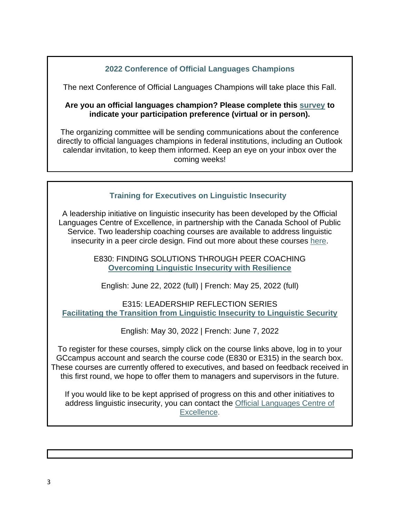### **2022 Conference of Official Languages Champions**

The next Conference of Official Languages Champions will take place this Fall.

#### **Are you an official languages champion? Please complete this [survey](https://forms.office.com/Pages/ResponsePage.aspx?id=EN-XY5VFR0CcTwMxEoIVK6gpjKG8W5pKsH_3gi3cashUNzkzT1VHUkZPNk9QMEhJUE9SWE1URlcyRS4u) to indicate your participation preference (virtual or in person).**

The organizing committee will be sending communications about the conference directly to official languages champions in federal institutions, including an Outlook calendar invitation, to keep them informed. Keep an eye on your inbox over the coming weeks!

### **Training for Executives on Linguistic Insecurity**

A leadership initiative on linguistic insecurity has been developed by the Official Languages Centre of Excellence, in partnership with the Canada School of Public Service. Two leadership coaching courses are available to address linguistic insecurity in a peer circle design. Find out more about these courses [here.](https://wiki.gccollab.ca/images/e/ef/PUB_Linguistic_Insecurity_-_GCCampus_courses_-_Forum.pdf)

> E830: FINDING SOLUTIONS THROUGH PEER COACHING **[Overcoming Linguistic Insecurity with Resilience](https://idp.csps-efpc.gc.ca/idp/Authn/UserPassword)**

English: June 22, 2022 (full) | French: May 25, 2022 (full)

E315: LEADERSHIP REFLECTION SERIES **[Facilitating the Transition from Linguistic Insecurity to Linguistic Security](https://idp.csps-efpc.gc.ca/idp/Authn/UserPassword)**

English: May 30, 2022 | French: June 7, 2022

To register for these courses, simply click on the course links above, log in to your GCcampus account and search the course code (E830 or E315) in the search box. These courses are currently offered to executives, and based on feedback received in this first round, we hope to offer them to managers and supervisors in the future.

If you would like to be kept apprised of progress on this and other initiatives to address linguistic insecurity, you can contact the [Official Languages Centre of](mailto:OLCEInformationCELO@tbs-sct.gc.ca?subject=Linguistic%20insecurity)  [Excellence.](mailto:OLCEInformationCELO@tbs-sct.gc.ca?subject=Linguistic%20insecurity)